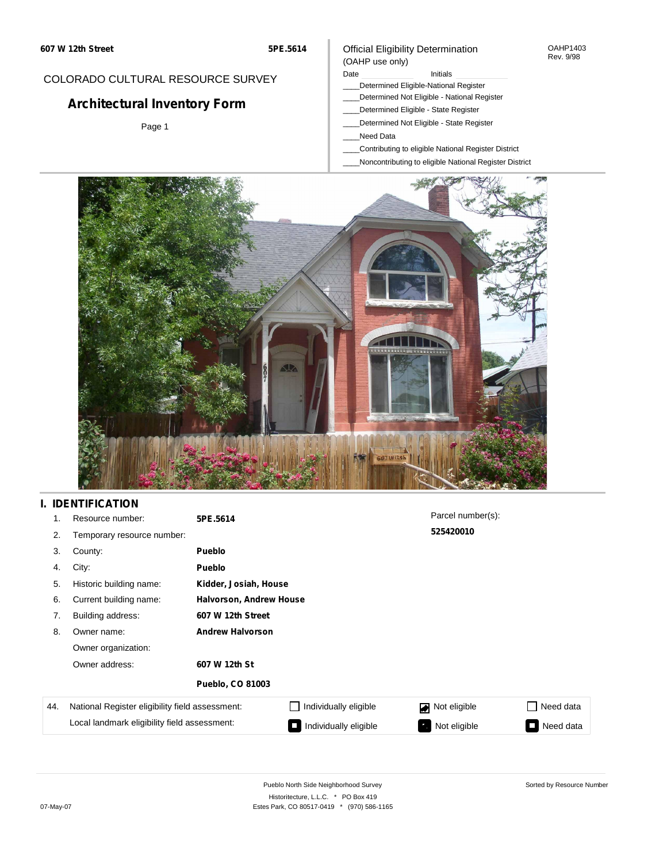#### OAHP1403 Rev. 9/98

# COLORADO CULTURAL RESOURCE SURVEY

# **Architectural Inventory Form**

Page 1

### (OAHP use only) Date **Initials** Initials

Official Eligibility Determination

- \_\_\_\_Determined Eligible-National Register
- \_\_\_\_Determined Not Eligible National Register
- \_\_\_\_Determined Eligible State Register
- \_\_\_\_Determined Not Eligible State Register
- \_\_\_\_Need Data
- \_\_\_\_Contributing to eligible National Register District
- \_\_\_\_Noncontributing to eligible National Register District



# **I. IDENTIFICATION**

| 1.  | Resource number:                                | 5PE.5614                       |                       | Parcel number(s): |                         |
|-----|-------------------------------------------------|--------------------------------|-----------------------|-------------------|-------------------------|
| 2.  | Temporary resource number:                      |                                |                       | 525420010         |                         |
| 3.  | County:                                         | <b>Pueblo</b>                  |                       |                   |                         |
| 4.  | City:                                           | <b>Pueblo</b>                  |                       |                   |                         |
| 5.  | Historic building name:                         | Kidder, Josiah, House          |                       |                   |                         |
| 6.  | Current building name:                          | <b>Halvorson, Andrew House</b> |                       |                   |                         |
| 7.  | Building address:                               | 607 W 12th Street              |                       |                   |                         |
| 8.  | Owner name:                                     | <b>Andrew Halvorson</b>        |                       |                   |                         |
|     | Owner organization:                             |                                |                       |                   |                         |
|     | Owner address:                                  | 607 W 12th St                  |                       |                   |                         |
|     |                                                 | <b>Pueblo, CO 81003</b>        |                       |                   |                         |
| 44. | National Register eligibility field assessment: |                                | Individually eligible | Not eligible<br>◙ | Need data               |
|     | Local landmark eligibility field assessment:    |                                | Individually eligible | Not eligible      | Need data<br><b>COL</b> |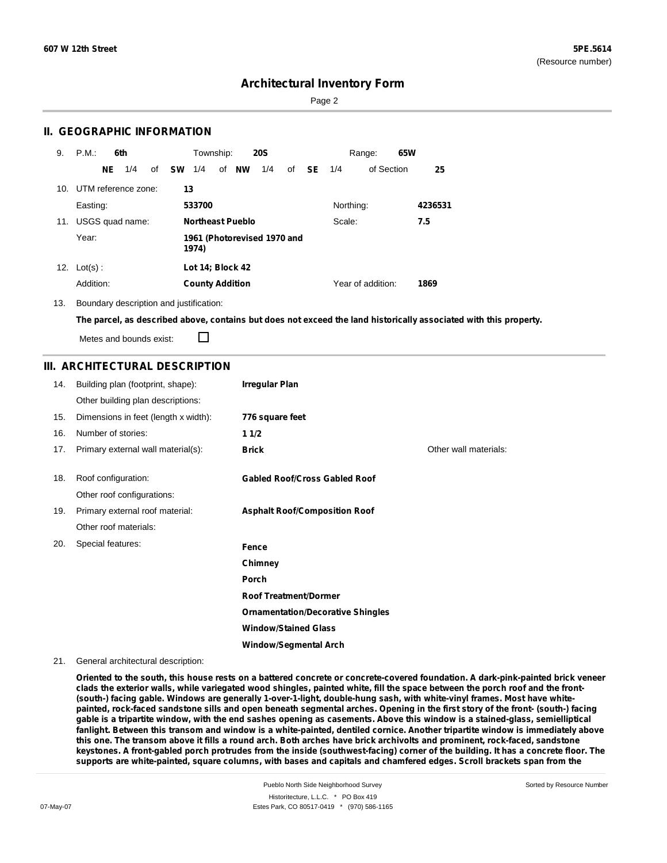Sorted by Resource Number

# **Architectural Inventory Form**

Page 2

## **II. GEOGRAPHIC INFORMATION**

| 9.  | P.M.                | 6th |     |    |           | Township:              |                         | <b>20S</b>                  |    |           |           | Range:            | 65W |         |
|-----|---------------------|-----|-----|----|-----------|------------------------|-------------------------|-----------------------------|----|-----------|-----------|-------------------|-----|---------|
|     |                     | NE  | 1/4 | of | <b>SW</b> | 1/4                    | of NW                   | 1/4                         | of | <b>SE</b> | 1/4       | of Section        |     | 25      |
| 10. | UTM reference zone: |     |     |    | 13        |                        |                         |                             |    |           |           |                   |     |         |
|     | Easting:            |     |     |    |           | 533700                 |                         |                             |    |           | Northing: |                   |     | 4236531 |
| 11. | USGS quad name:     |     |     |    |           |                        | <b>Northeast Pueblo</b> |                             |    |           | Scale:    |                   |     | 7.5     |
|     | Year:               |     |     |    |           | 1974)                  |                         | 1961 (Photorevised 1970 and |    |           |           |                   |     |         |
| 12. | $Lot(s)$ :          |     |     |    |           | Lot 14; Block 42       |                         |                             |    |           |           |                   |     |         |
|     | Addition:           |     |     |    |           | <b>County Addition</b> |                         |                             |    |           |           | Year of addition: |     | 1869    |

13. Boundary description and justification:

The parcel, as described above, contains but does not exceed the land historically associated with this property.

Metes and bounds exist:

П

### **III. ARCHITECTURAL DESCRIPTION**

| 14. | Building plan (footprint, shape):    | <b>Irregular Plan</b>                    |                       |
|-----|--------------------------------------|------------------------------------------|-----------------------|
|     | Other building plan descriptions:    |                                          |                       |
| 15. | Dimensions in feet (length x width): | 776 square feet                          |                       |
| 16. | Number of stories:                   | 11/2                                     |                       |
| 17. | Primary external wall material(s):   | <b>Brick</b>                             | Other wall materials: |
| 18. | Roof configuration:                  | <b>Gabled Roof/Cross Gabled Roof</b>     |                       |
|     | Other roof configurations:           |                                          |                       |
| 19. | Primary external roof material:      | <b>Asphalt Roof/Composition Roof</b>     |                       |
|     | Other roof materials:                |                                          |                       |
| 20. | Special features:                    | Fence                                    |                       |
|     |                                      | Chimney                                  |                       |
|     |                                      | Porch                                    |                       |
|     |                                      | <b>Roof Treatment/Dormer</b>             |                       |
|     |                                      | <b>Ornamentation/Decorative Shingles</b> |                       |
|     |                                      | <b>Window/Stained Glass</b>              |                       |
|     |                                      | <b>Window/Segmental Arch</b>             |                       |

#### 21. General architectural description:

Oriented to the south, this house rests on a battered concrete or concrete-covered foundation. A dark-pink-painted brick veneer clads the exterior walls, while variegated wood shingles, painted white, fill the space between the porch roof and the front-(south-) facing gable. Windows are generally 1-over-1-light, double-hung sash, with white-vinyl frames. Most have whitepainted, rock-faced sandstone sills and open beneath segmental arches. Opening in the first story of the front- (south-) facing gable is a tripartite window, with the end sashes opening as casements. Above this window is a stained-glass, semielliptical fanlight. Between this transom and window is a white-painted, dentiled cornice. Another tripartite window is immediately above this one. The transom above it fills a round arch. Both arches have brick archivolts and prominent, rock-faced, sandstone keystones. A front-gabled porch protrudes from the inside (southwest-facing) corner of the building. It has a concrete floor. The supports are white-painted, square columns, with bases and capitals and chamfered edges. Scroll brackets span from the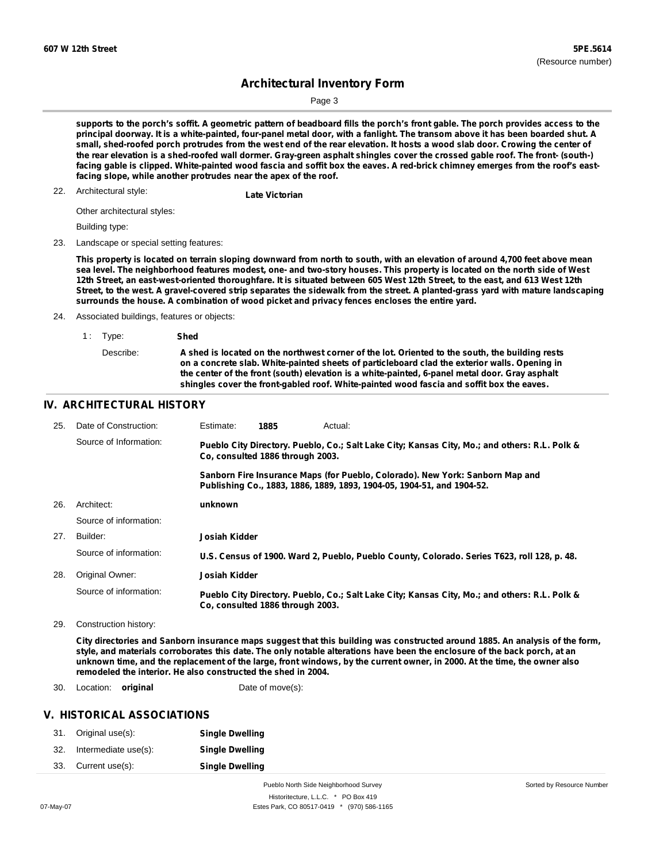Sorted by Resource Number

# **Architectural Inventory Form**

Page 3

supports to the porch's soffit. A geometric pattern of beadboard fills the porch's front gable. The porch provides access to the principal doorway. It is a white-painted, four-panel metal door, with a fanlight. The transom above it has been boarded shut. A small, shed-roofed porch protrudes from the west end of the rear elevation. It hosts a wood slab door. Crowing the center of the rear elevation is a shed-roofed wall dormer. Gray-green asphalt shingles cover the crossed gable roof. The front- (south-) facing gable is clipped. White-painted wood fascia and soffit box the eaves. A red-brick chimney emerges from the roof's east**facing slope, while another protrudes near the apex of the roof.**

# Architectural style: 22. **Late Victorian**

Other architectural styles:

Building type:

23. Landscape or special setting features:

This property is located on terrain sloping downward from north to south, with an elevation of around 4,700 feet above mean sea level. The neighborhood features modest, one- and two-story houses. This property is located on the north side of West 12th Street, an east-west-oriented thoroughfare. It is situated between 605 West 12th Street, to the east, and 613 West 12th Street, to the west. A gravel-covered strip separates the sidewalk from the street. A planted-grass yard with mature landscaping **surrounds the house. A combination of wood picket and privacy fences encloses the entire yard.**

24. Associated buildings, features or objects:

| 1: Type:  | Shed                                                                                                                                                                                                                                                                                                                                                                                            |
|-----------|-------------------------------------------------------------------------------------------------------------------------------------------------------------------------------------------------------------------------------------------------------------------------------------------------------------------------------------------------------------------------------------------------|
| Describe: | A shed is located on the northwest corner of the lot. Oriented to the south, the building rests<br>on a concrete slab. White-painted sheets of particleboard clad the exterior walls. Opening in<br>the center of the front (south) elevation is a white-painted, 6-panel metal door. Gray asphalt<br>shingles cover the front-gabled roof. White-painted wood fascia and soffit box the eaves. |

#### **IV. ARCHITECTURAL HISTORY**

| 25. | Date of Construction:  | Estimate:     | 1885                             | Actual:                                                                                                                                                 |
|-----|------------------------|---------------|----------------------------------|---------------------------------------------------------------------------------------------------------------------------------------------------------|
|     | Source of Information: |               | Co. consulted 1886 through 2003. | Pueblo City Directory. Pueblo, Co.; Salt Lake City; Kansas City, Mo.; and others: R.L. Polk &                                                           |
|     |                        |               |                                  | Sanborn Fire Insurance Maps (for Pueblo, Colorado). New York: Sanborn Map and<br>Publishing Co., 1883, 1886, 1889, 1893, 1904-05, 1904-51, and 1904-52. |
| 26. | Architect:             | unknown       |                                  |                                                                                                                                                         |
|     | Source of information: |               |                                  |                                                                                                                                                         |
| 27. | Builder:               | Josiah Kidder |                                  |                                                                                                                                                         |
|     | Source of information: |               |                                  | U.S. Census of 1900. Ward 2, Pueblo, Pueblo County, Colorado. Series T623, roll 128, p. 48.                                                             |
| 28. | Original Owner:        | Josiah Kidder |                                  |                                                                                                                                                         |
|     | Source of information: |               | Co. consulted 1886 through 2003. | Pueblo City Directory. Pueblo, Co.; Salt Lake City; Kansas City, Mo.; and others: R.L. Polk &                                                           |

29. Construction history:

City directories and Sanborn insurance maps suggest that this building was constructed around 1885. An analysis of the form, style, and materials corroborates this date. The only notable alterations have been the enclosure of the back porch, at an unknown time, and the replacement of the large, front windows, by the current owner, in 2000. At the time, the owner also **remodeled the interior. He also constructed the shed in 2004.**

30. Location: **original** Date of move(s):

### **V. HISTORICAL ASSOCIATIONS**

|     | 31. Original use(s): | <b>Single Dwelling</b> |
|-----|----------------------|------------------------|
| 32. | Intermediate use(s): | <b>Single Dwelling</b> |
| 33. | Current use(s):      | <b>Single Dwelling</b> |

Pueblo North Side Neighborhood Survey Historitecture, L.L.C. \* PO Box 419 07-May-07 **Estes Park, CO 80517-0419** \* (970) 586-1165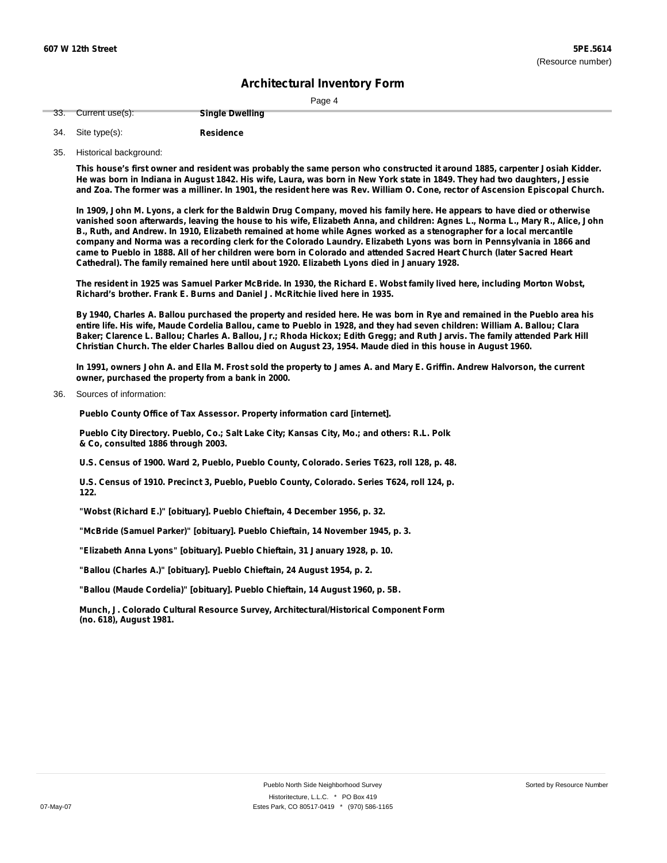|--|

| 33. Current use(s): | <b>Single Dwelling</b> |
|---------------------|------------------------|
|                     |                        |

- **Residence** Site type(s): 34.
- 35. Historical background:

This house's first owner and resident was probably the same person who constructed it around 1885, carpenter Josiah Kidder. He was born in Indiana in August 1842. His wife, Laura, was born in New York state in 1849. They had two daughters, Jessie and Zoa. The former was a milliner. In 1901, the resident here was Rev. William O. Cone, rector of Ascension Episcopal Church.

In 1909, John M. Lyons, a clerk for the Baldwin Drug Company, moved his family here. He appears to have died or otherwise vanished soon afterwards, leaving the house to his wife, Elizabeth Anna, and children: Agnes L., Norma L., Mary R., Alice, John B., Ruth, and Andrew. In 1910, Elizabeth remained at home while Agnes worked as a stenographer for a local mercantile company and Norma was a recording clerk for the Colorado Laundry. Elizabeth Lyons was born in Pennsylvania in 1866 and came to Pueblo in 1888. All of her children were born in Colorado and attended Sacred Heart Church (later Sacred Heart **Cathedral). The family remained here until about 1920. Elizabeth Lyons died in January 1928.**

The resident in 1925 was Samuel Parker McBride. In 1930, the Richard E. Wobst family lived here, including Morton Wobst, **Richard's brother. Frank E. Burns and Daniel J. McRitchie lived here in 1935.**

By 1940, Charles A. Ballou purchased the property and resided here. He was born in Rye and remained in the Pueblo area his entire life. His wife, Maude Cordelia Ballou, came to Pueblo in 1928, and they had seven children: William A. Ballou; Clara Baker; Clarence L. Ballou; Charles A. Ballou, Jr.; Rhoda Hickox; Edith Gregg; and Ruth Jarvis. The family attended Park Hill Christian Church. The elder Charles Ballou died on August 23, 1954. Maude died in this house in August 1960.

In 1991, owners John A. and Ella M. Frost sold the property to James A. and Mary E. Griffin. Andrew Halvorson, the current **owner, purchased the property from a bank in 2000.**

Sources of information: 36.

**Pueblo County Office of Tax Assessor. Property information card [internet].**

**Pueblo City Directory. Pueblo, Co.; Salt Lake City; Kansas City, Mo.; and others: R.L. Polk & Co, consulted 1886 through 2003.**

**U.S. Census of 1900. Ward 2, Pueblo, Pueblo County, Colorado. Series T623, roll 128, p. 48.**

**U.S. Census of 1910. Precinct 3, Pueblo, Pueblo County, Colorado. Series T624, roll 124, p. 122.**

**"Wobst (Richard E.)" [obituary]. Pueblo Chieftain, 4 December 1956, p. 32.**

**"McBride (Samuel Parker)" [obituary]. Pueblo Chieftain, 14 November 1945, p. 3.**

**"Elizabeth Anna Lyons" [obituary]. Pueblo Chieftain, 31 January 1928, p. 10.**

**"Ballou (Charles A.)" [obituary]. Pueblo Chieftain, 24 August 1954, p. 2.**

**"Ballou (Maude Cordelia)" [obituary]. Pueblo Chieftain, 14 August 1960, p. 5B.**

**Munch, J. Colorado Cultural Resource Survey, Architectural/Historical Component Form (no. 618), August 1981.**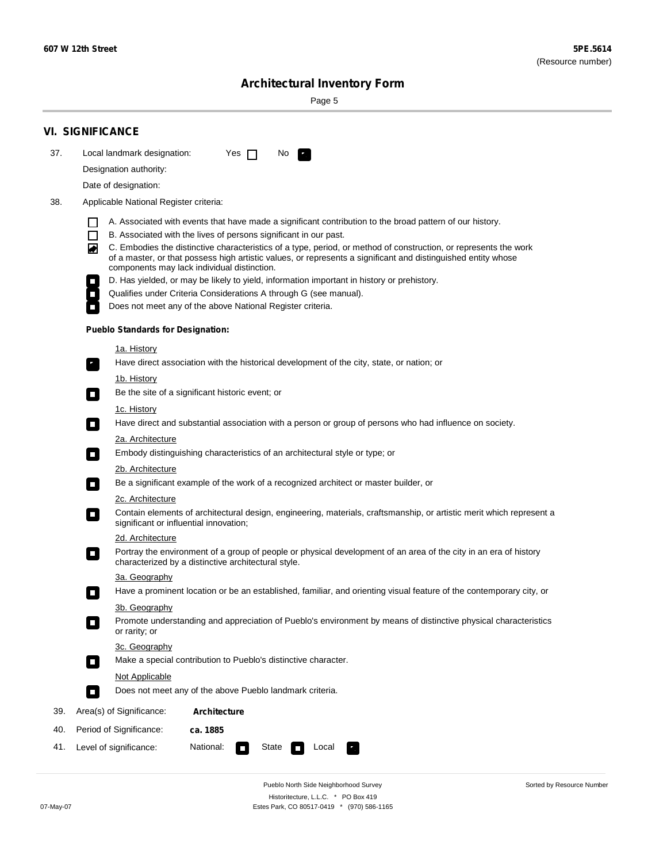$\sim$ 

Sorted by Resource Number

# **Architectural Inventory Form**

Page 5

|     | <b>VI. SIGNIFICANCE</b>                                                                                                                                                                                                                                                               |  |  |  |  |  |  |
|-----|---------------------------------------------------------------------------------------------------------------------------------------------------------------------------------------------------------------------------------------------------------------------------------------|--|--|--|--|--|--|
| 37. | Local landmark designation:<br>Yes $\Box$<br>No.                                                                                                                                                                                                                                      |  |  |  |  |  |  |
|     | Designation authority:                                                                                                                                                                                                                                                                |  |  |  |  |  |  |
|     | Date of designation:                                                                                                                                                                                                                                                                  |  |  |  |  |  |  |
| 38. | Applicable National Register criteria:                                                                                                                                                                                                                                                |  |  |  |  |  |  |
|     | A. Associated with events that have made a significant contribution to the broad pattern of our history.<br>1 I                                                                                                                                                                       |  |  |  |  |  |  |
|     | $\Box$<br>B. Associated with the lives of persons significant in our past.                                                                                                                                                                                                            |  |  |  |  |  |  |
|     | C. Embodies the distinctive characteristics of a type, period, or method of construction, or represents the work<br>◙<br>of a master, or that possess high artistic values, or represents a significant and distinguished entity whose<br>components may lack individual distinction. |  |  |  |  |  |  |
|     | D. Has yielded, or may be likely to yield, information important in history or prehistory.                                                                                                                                                                                            |  |  |  |  |  |  |
|     | Qualifies under Criteria Considerations A through G (see manual).                                                                                                                                                                                                                     |  |  |  |  |  |  |
|     | Does not meet any of the above National Register criteria.                                                                                                                                                                                                                            |  |  |  |  |  |  |
|     | <b>Pueblo Standards for Designation:</b>                                                                                                                                                                                                                                              |  |  |  |  |  |  |
|     | <u>1a. History</u>                                                                                                                                                                                                                                                                    |  |  |  |  |  |  |
|     | Have direct association with the historical development of the city, state, or nation; or                                                                                                                                                                                             |  |  |  |  |  |  |
|     | 1b. History<br>Be the site of a significant historic event; or<br>$\mathcal{L}_{\mathcal{A}}$                                                                                                                                                                                         |  |  |  |  |  |  |
|     | <u>1c. History</u>                                                                                                                                                                                                                                                                    |  |  |  |  |  |  |
|     | Have direct and substantial association with a person or group of persons who had influence on society.<br>$\blacksquare$                                                                                                                                                             |  |  |  |  |  |  |
|     | 2a. Architecture                                                                                                                                                                                                                                                                      |  |  |  |  |  |  |
|     | Embody distinguishing characteristics of an architectural style or type; or<br>$\overline{\phantom{a}}$                                                                                                                                                                               |  |  |  |  |  |  |
|     | <u>2b. Architecture</u>                                                                                                                                                                                                                                                               |  |  |  |  |  |  |
|     | Be a significant example of the work of a recognized architect or master builder, or<br>$\overline{\phantom{a}}$                                                                                                                                                                      |  |  |  |  |  |  |
|     | <b>2c. Architecture</b>                                                                                                                                                                                                                                                               |  |  |  |  |  |  |
|     | Contain elements of architectural design, engineering, materials, craftsmanship, or artistic merit which represent a<br>О<br>significant or influential innovation;                                                                                                                   |  |  |  |  |  |  |
|     | 2d. Architecture                                                                                                                                                                                                                                                                      |  |  |  |  |  |  |
|     | Portray the environment of a group of people or physical development of an area of the city in an era of history<br>$\Box$<br>characterized by a distinctive architectural style.                                                                                                     |  |  |  |  |  |  |
|     | 3a. Geography                                                                                                                                                                                                                                                                         |  |  |  |  |  |  |
|     | Have a prominent location or be an established, familiar, and orienting visual feature of the contemporary city, or<br>П                                                                                                                                                              |  |  |  |  |  |  |
|     | 3b. Geography<br>Promote understanding and appreciation of Pueblo's environment by means of distinctive physical characteristics<br>or rarity; or                                                                                                                                     |  |  |  |  |  |  |
|     | 3c. Geography<br>Make a special contribution to Pueblo's distinctive character.<br>$\overline{\phantom{a}}$                                                                                                                                                                           |  |  |  |  |  |  |
|     | <b>Not Applicable</b>                                                                                                                                                                                                                                                                 |  |  |  |  |  |  |
|     | Does not meet any of the above Pueblo landmark criteria.<br>$\sim$                                                                                                                                                                                                                    |  |  |  |  |  |  |
| 39. | Area(s) of Significance:<br><b>Architecture</b>                                                                                                                                                                                                                                       |  |  |  |  |  |  |
| 40. | Period of Significance:<br>ca. 1885                                                                                                                                                                                                                                                   |  |  |  |  |  |  |
| 41. | National:<br>Level of significance:<br>State<br>Local                                                                                                                                                                                                                                 |  |  |  |  |  |  |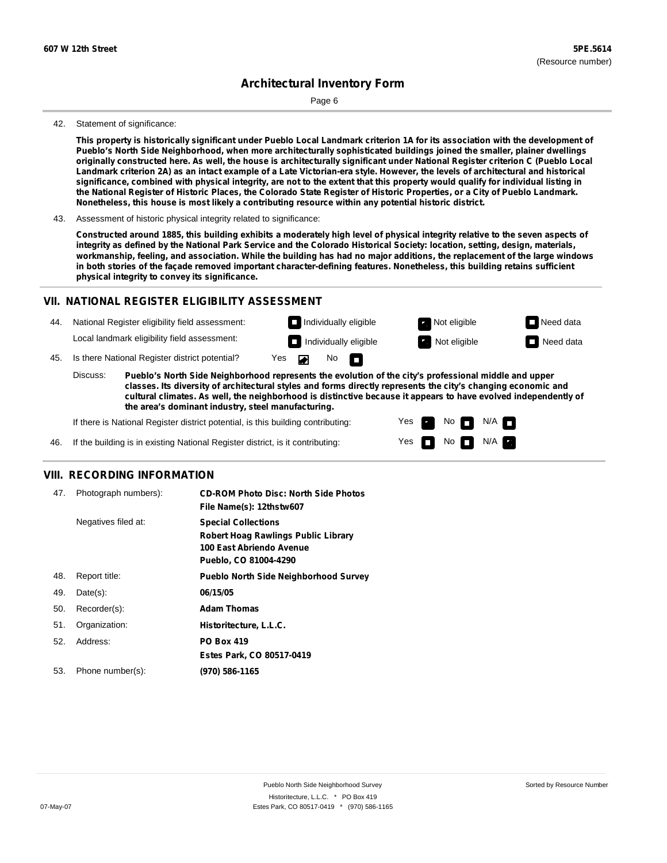Page 6

#### 42. Statement of significance:

This property is historically significant under Pueblo Local Landmark criterion 1A for its association with the development of **Pueblo's North Side Neighborhood, when more architecturally sophisticated buildings joined the smaller, plainer dwellings** originally constructed here. As well, the house is architecturally significant under National Register criterion C (Pueblo Local Landmark criterion 2A) as an intact example of a Late Victorian-era style. However, the levels of architectural and historical significance, combined with physical integrity, are not to the extent that this property would qualify for individual listing in the National Register of Historic Places, the Colorado State Register of Historic Properties, or a City of Pueblo Landmark. **Nonetheless, this house is most likely a contributing resource within any potential historic district.**

43. Assessment of historic physical integrity related to significance:

Constructed around 1885, this building exhibits a moderately high level of physical integrity relative to the seven aspects of integrity as defined by the National Park Service and the Colorado Historical Society: location, setting, design, materials, workmanship, feeling, and association. While the building has had no major additions, the replacement of the large windows in both stories of the façade removed important character-defining features. Nonetheless, this building retains sufficient **physical integrity to convey its significance.**

#### **VII. NATIONAL REGISTER ELIGIBILITY ASSESSMENT**

44. National Register eligibility field assessment: Local landmark eligibility field assessment:

**Individually eligible Not eligible** Not eligible **Need data Individually eligible Not eligible** Not eligible **Need data** 

No<sub>D</sub>

45. Is there National Register district potential? Yes

**Pueblo's North Side Neighborhood represents the evolution of the city's professional middle and upper classes. Its diversity of architectural styles and forms directly represents the city's changing economic and cultural climates. As well, the neighborhood is distinctive because it appears to have evolved independently of the area's dominant industry, steel manufacturing.** Discuss:

 $\blacksquare$ 

Yes Yes No

 $No$   $N/A$ 

N/A

If there is National Register district potential, is this building contributing:



### **VIII. RECORDING INFORMATION**

| 47. | Photograph numbers): | <b>CD-ROM Photo Disc: North Side Photos</b><br>File Name(s): 12thstw607                                                       |
|-----|----------------------|-------------------------------------------------------------------------------------------------------------------------------|
|     | Negatives filed at:  | <b>Special Collections</b><br><b>Robert Hoag Rawlings Public Library</b><br>100 East Abriendo Avenue<br>Pueblo, CO 81004-4290 |
| 48. | Report title:        | <b>Pueblo North Side Neighborhood Survey</b>                                                                                  |
| 49. | $Date(s)$ :          | 06/15/05                                                                                                                      |
| 50. | Recorder(s):         | <b>Adam Thomas</b>                                                                                                            |
| 51. | Organization:        | Historitecture, L.L.C.                                                                                                        |
| 52. | Address:             | <b>PO Box 419</b>                                                                                                             |
|     |                      | Estes Park, CO 80517-0419                                                                                                     |
| 53. | Phone number(s):     | (970) 586-1165                                                                                                                |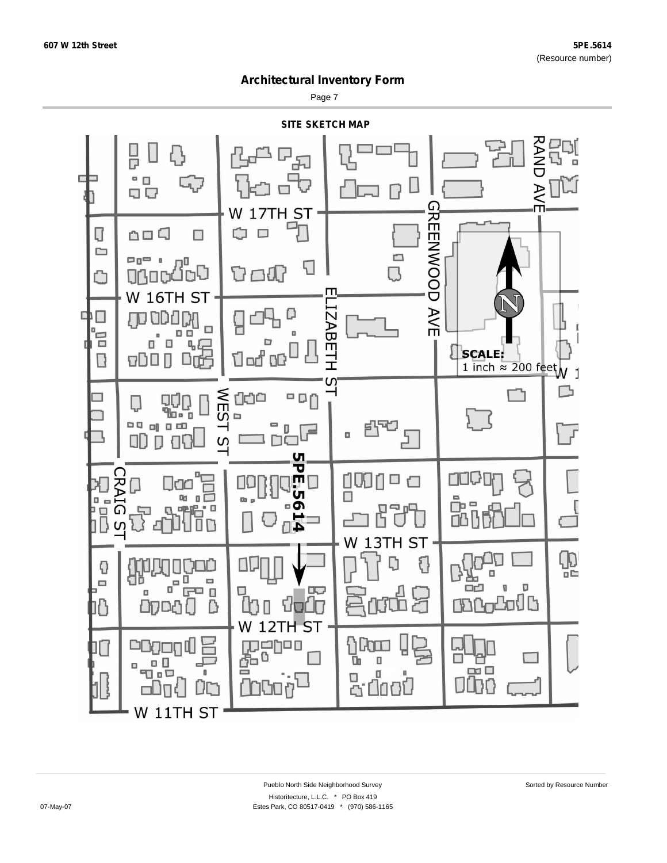Page 7